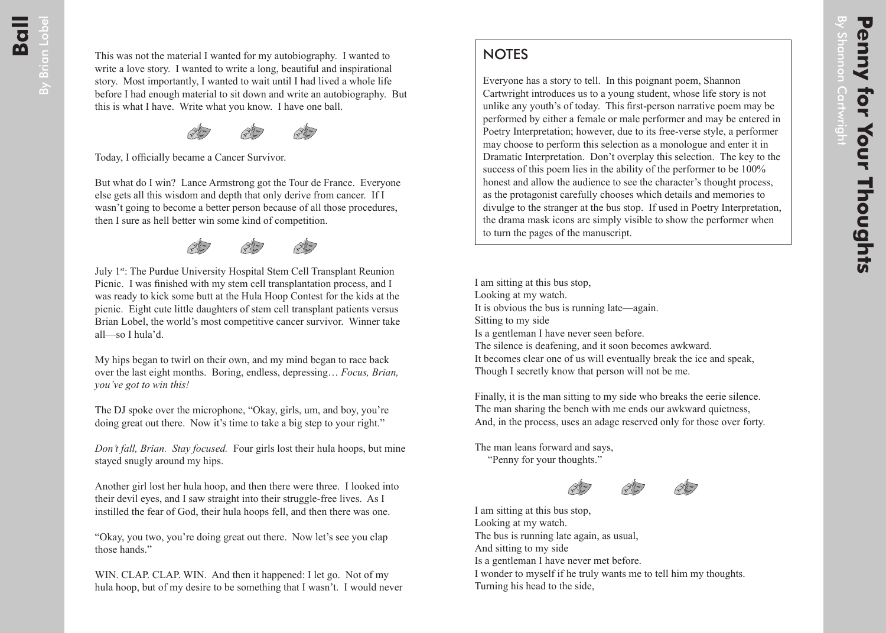## **NOTES**

Everyone has a story to tell. In this poignant poem, Shannon Cartwright introduces us to a young student, whose life story is not unlike any youth's of today. This first-person narrative poem may be performed by either a female or male performer and may be entered in Poetry Interpretation; however, due to its free-verse style, a performer may choose to perform this selection as a monologue and enter it in Dramatic Interpretation. Don't overplay this selection. The key to the success of this poem lies in the ability of the performer to be 100% honest and allow the audience to see the character's thought process, as the protagonist carefully chooses which details and memories to divulge to the stranger at the bus stop. If used in Poetry Interpretation, the drama mask icons are simply visible to show the performer when to turn the pages of the manuscript.

I am sitting at this bus stop, Looking at my watch. It is obvious the bus is running late—again. Sitting to my side Is a gentleman I have never seen before. The silence is deafening, and it soon becomes awkward. It becomes clear one of us will eventually break the ice and speak, Though I secretly know that person will not be me.

Finally, it is the man sitting to my side who breaks the eerie silence. The man sharing the bench with me ends our awkward quietness, And, in the process, uses an adage reserved only for those over forty.

The man leans forward and says,

"Penny for your thoughts."





I am sitting at this bus stop, Looking at my watch. The bus is running late again, as usual, And sitting to my side Is a gentleman I have never met before. I wonder to myself if he truly wants me to tell him my thoughts. Turning his head to the side,